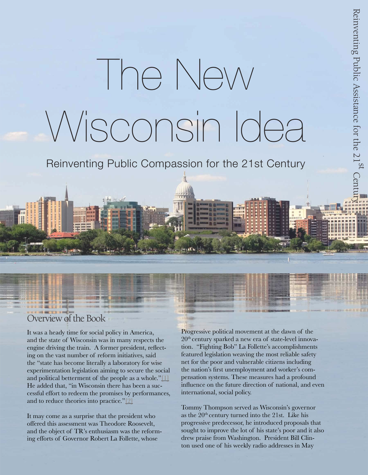# The New Wisconsin Idea

Reinventing Public Compassion for the 21st Century

# Overview of the Book

T

It was a heady time for social policy in America, and the state of Wisconsin was in many respects the engine driving the train. A former president, reflecting on the vast number of reform initiatives, said the "state has become literally a laboratory for wise experimentation legislation aiming to secure the social and political betterment of the people as a whole." $[1]$ He added that, "in Wisconsin there has been a successful effort to redeem the promises by performances, and to reduce theories into practice."[2]

It may come as a surprise that the president who offered this assessment was Theodore Roosevelt, and the object of TR's enthusiasm was the reforming efforts of Governor Robert La Follette, whose

Progressive political movement at the dawn of the 20th century sparked a new era of state-level innovation. "Fighting Bob" La Follette's accomplishments featured legislation weaving the most reliable safety net for the poor and vulnerable citizens including the nation's first unemployment and worker's compensation systems. These measures had a profound influence on the future direction of national, and even international, social policy.

Tommy Thompson served as Wisconsin's governor as the  $20<sup>th</sup>$  century turned into the 21st. Like his progressive predecessor, he introduced proposals that sought to improve the lot of his state's poor and it also drew praise from Washington. President Bill Clinton used one of his weekly radio addresses in May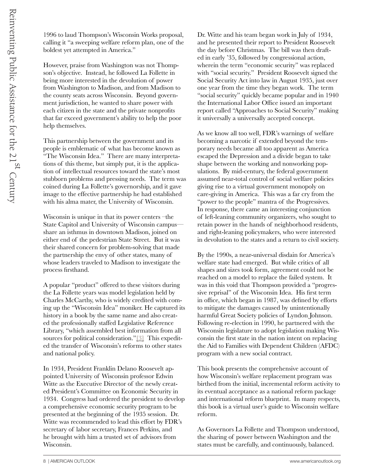1996 to laud Thompson's Wisconsin Works proposal, calling it "a sweeping welfare reform plan, one of the boldest yet attempted in America."

However, praise from Washington was not Thompson's objective. Instead, he followed La Follette in being more interested in the devolution of power from Washington to Madison, and from Madison to the county seats across Wisconsin. Beyond government jurisdiction, he wanted to share power with each citizen in the state and the private nonprofits that far exceed government's ability to help the poor help themselves.

This partnership between the government and its people is emblematic of what has become known as "The Wisconsin Idea." There are many interpretations of this theme, but simply put, it is the application of intellectual resources toward the state's most stubborn problems and pressing needs. The term was coined during La Follette's governorship, and it gave image to the effective partnership he had established with his alma mater, the University of Wisconsin.

Wisconsin is unique in that its power centers –the State Capitol and University of Wisconsin campus share an isthmus in downtown Madison, joined on either end of the pedestrian State Street. But it was their shared concern for problem-solving that made the partnership the envy of other states, many of whose leaders traveled to Madison to investigate the process firsthand.

A popular "product" offered to these visitors during the La Follette years was model legislation held by Charles McCarthy, who is widely credited with coming up the "Wisconsin Idea" moniker. He captured its history in a book by the same name and also created the professionally staffed Legislative Reference Library, "which assembled best information from all sources for political consideration."[3] This expedited the transfer of Wisconsin's reforms to other states and national policy.

In 1934, President Franklin Delano Roosevelt appointed University of Wisconsin professor Edwin Witte as the Executive Director of the newly created President's Committee on Economic Security in 1934. Congress had ordered the president to develop a comprehensive economic security program to be presented at the beginning of the 1935 session. Dr. Witte was recommended to lead this effort by FDR's secretary of labor secretary, Frances Perkins, and he brought with him a trusted set of advisors from Wisconsin.

Dr. Witte and his team began work in July of 1934, and he presented their report to President Roosevelt the day before Christmas. The bill was then drafted in early '35, followed by congressional action, wherein the term "economic security" was replaced with "social security." President Roosevelt signed the Social Security Act into law in August 1935, just over one year from the time they began work. The term "social security" quickly became popular and in 1940 the International Labor Office issued an important report called "Approaches to Social Security" making it universally a universally accepted concept.

As we know all too well, FDR's warnings of welfare becoming a narcotic if extended beyond the temporary needs became all too apparent as America escaped the Depression and a divide began to take shape between the working and nonworking populations. By mid-century, the federal government assumed near-total control of social welfare policies giving rise to a virtual government monopoly on care-giving in America. This was a far cry from the "power to the people" mantra of the Progressives. In response, there came an interesting conjunction of left-leaning community organizers, who sought to retain power in the hands of neighborhood residents, and right-leaning policymakers, who were interested in devolution to the states and a return to civil society.

By the 1990s, a near-universal disdain for America's welfare state had emerged. But while critics of all shapes and sizes took form, agreement could not be reached on a model to replace the failed system. It was in this void that Thompson provided a "progressive reprisal" of the Wisconsin Idea. His first term in office, which began in 1987, was defined by efforts to mitigate the damages caused by unintentionally harmful Great Society policies of Lyndon Johnson. Following re-election in 1990, he partnered with the Wisconsin legislature to adopt legislation making Wisconsin the first state in the nation intent on replacing the Aid to Families with Dependent Children (AFDC) program with a new social contract.

This book presents the comprehensive account of how Wisconsin's welfare replacement program was birthed from the initial, incremental reform activity to its eventual acceptance as a national reform package and international reform blueprint. In many respects, this book is a virtual user's guide to Wisconsin welfare reform.

As Governors La Follette and Thompson understood, the sharing of power between Washington and the states must be carefully, and continuously, balanced.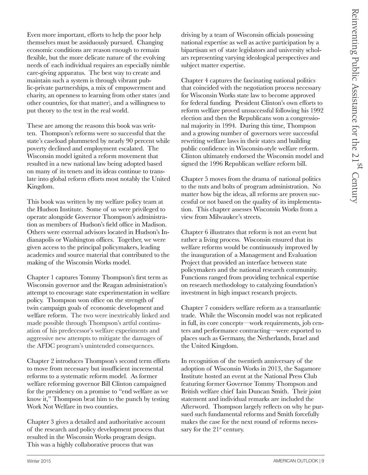Even more important, efforts to help the poor help themselves must be assiduously pursued. Changing economic conditions are reason enough to remain flexible, but the more delicate nature of the evolving needs of each individual requires an especially nimble care-giving apparatus. The best way to create and maintain such a system is through vibrant public-private partnerships, a mix of empowerment and charity, an openness to learning from other states (and other countries, for that matter), and a willingness to put theory to the test in the real world.

These are among the reasons this book was written. Thompson's reforms were so successful that the state's caseload plummeted by nearly 90 percent while poverty declined and employment escalated. The Wisconsin model ignited a reform movement that resulted in a new national law being adopted based on many of its tenets and its ideas continue to translate into global reform efforts most notably the United Kingdom.

This book was written by my welfare policy team at the Hudson Institute. Some of us were privileged to operate alongside Governor Thompson's administration as members of Hudson's field office in Madison. Others were external advisors located in Hudson's Indianapolis or Washington offices. Together, we were given access to the principal policymakers, leading academics and source material that contributed to the making of the Wisconsin Works model.

Chapter 1 captures Tommy Thompson's first term as Wisconsin governor and the Reagan administration's attempt to encourage state experimentation in welfare policy. Thompson won office on the strength of twin campaign goals of economic development and welfare reform. The two were inextricably linked and made possible through Thompson's artful continuation of his predecessor's welfare experiments and aggressive new attempts to mitigate the damages of the AFDC program's unintended consequences.

Chapter 2 introduces Thompson's second term efforts to move from necessary but insufficient incremental reforms to a systematic reform model. As former welfare reforming governor Bill Clinton campaigned for the presidency on a promise to "end welfare as we know it," Thompson beat him to the punch by testing Work Not Welfare in two counties.

Chapter 3 gives a detailed and authoritative account of the research and policy development process that resulted in the Wisconsin Works program design. This was a highly collaborative process that was

driving by a team of Wisconsin officials possessing national expertise as well as active participation by a bipartisan set of state legislators and university scholars representing varying ideological perspectives and subject matter expertise.

Chapter 4 captures the fascinating national politics that coincided with the negotiation process necessary for Wisconsin Works state law to become approved for federal funding. President Clinton's own efforts to reform welfare proved unsuccessful following his 1992 election and then the Republicans won a congressional majority in 1994. During this time, Thompson and a growing number of governors were successful rewriting welfare laws in their states and building public confidence in Wisconsin-style welfare reform. Clinton ultimately endorsed the Wisconsin model and signed the 1996 Republican welfare reform bill.

Chapter 5 moves from the drama of national politics to the nuts and bolts of program administration. No matter how big the ideas, all reforms are proven successful or not based on the quality of its implementation. This chapter assesses Wisconsin Works from a view from Milwaukee's streets.

Chapter 6 illustrates that reform is not an event but rather a living process. Wisconsin ensured that its welfare reforms would be continuously improved by the inauguration of a Management and Evaluation Project that provided an interface between state policymakers and the national research community. Functions ranged from providing technical expertise on research methodology to catalyzing foundation's investment in high impact research projects.

Chapter 7 considers welfare reform as a transatlantic trade. While the Wisconsin model was not replicated in full, its core concepts—work requirements, job centers and performance contracting—were exported to places such as Germany, the Netherlands, Israel and the United Kingdom.

In recognition of the twentieth anniversary of the adoption of Wisconsin Works in 2013, the Sagamore Institute hosted an event at the National Press Club featuring former Governor Tommy Thompson and British welfare chief Iain Duncan Smith. Their joint statement and individual remarks are included the Afterword. Thompson largely reflects on why he pursued such fundamental reforms and Smith forcefully makes the case for the next round of reforms necessary for the  $21<sup>st</sup>$  century.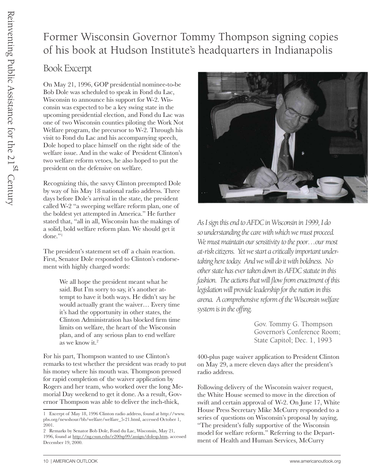# Former Wisconsin Governor Tommy Thompson signing copies of his book at Hudson Institute's headquarters in Indianapolis

## Book Excerpt

On May 21, 1996, GOP presidential nominee-to-be Bob Dole was scheduled to speak in Fond du Lac, Wisconsin to announce his support for W-2. Wisconsin was expected to be a key swing state in the upcoming presidential election, and Fond du Lac was one of two Wisconsin counties piloting the Work Not Welfare program, the precursor to W-2. Through his visit to Fond du Lac and his accompanying speech, Dole hoped to place himself on the right side of the welfare issue. And in the wake of President Clinton's two welfare reform vetoes, he also hoped to put the president on the defensive on welfare.

Recognizing this, the savvy Clinton preempted Dole by way of his May 18 national radio address. Three days before Dole's arrival in the state, the president called W-2 "a sweeping welfare reform plan, one of the boldest yet attempted in America." He further stated that, "all in all, Wisconsin has the makings of a solid, bold welfare reform plan. We should get it done."1

The president's statement set off a chain reaction. First, Senator Dole responded to Clinton's endorsement with highly charged words:

> We all hope the president meant what he said. But I'm sorry to say, it's another attempt to have it both ways. He didn't say he would actually grant the waiver… Every time it's had the opportunity in other states, the Clinton Administration has blocked firm time limits on welfare, the heart of the Wisconsin plan, and of any serious plan to end welfare as we know it.2

For his part, Thompson wanted to use Clinton's remarks to test whether the president was ready to put his money where his mouth was. Thompson pressed for rapid completion of the waiver application by Rogers and her team, who worked over the long Memorial Day weekend to get it done. As a result, Governor Thompson was able to deliver the inch-thick,



*As I sign this end to AFDC in Wisconsin in 1999, I do so understanding the care with which we must proceed.*  We must maintain our sensitivity to the poor...our most *at-risk citizens. Yet we start a critically important undertaking here today. And we will do it with boldness. No other state has ever taken down its AFDC statute in this fashion. The actions that will flow from enactment of this legislation will provide leadership for the nation in this arena. A comprehensive reform of the Wisconsin welfare system is in the offing.* 

> Gov. Tommy G. Thompson Governor's Conference Room; State Capitol; Dec. 1, 1993

400-plus page waiver application to President Clinton on May 29, a mere eleven days after the president's radio address.

Following delivery of the Wisconsin waiver request, the White House seemed to move in the direction of swift and certain approval of W-2. On June 17, White House Press Secretary Mike McCurry responded to a series of questions on Wisconsin's proposal by saying, "The president's fully supportive of the Wisconsin model for welfare reform." Referring to the Department of Health and Human Services, McCurry

<sup>1</sup> Excerpt of May 18, 1996 Clinton radio address, found at http://www. pbs.org/newshour/bb/welfare/welfare\_5-21.html, accessed October 1, 2001.

<sup>2</sup> Remarks by Senator Bob Dole, Fond du Lac, Wisconsin, May 21, 1996, found at http://ng.csun.edu/e200sp99/assign/dolesp.htm, accessed December 19, 2000.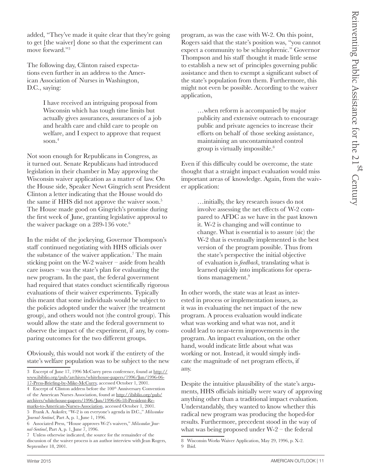added, "They've made it quite clear that they're going to get [the waiver] done so that the experiment can move forward."3

The following day, Clinton raised expectations even further in an address to the American Association of Nurses in Washington, D.C., saying:

> I have received an intriguing proposal from Wisconsin which has tough time limits but actually gives assurances, assurances of a job and health care and child care to people on welfare, and I expect to approve that request soon.<sup>4</sup>

Not soon enough for Republicans in Congress, as it turned out. Senate Republicans had introduced legislation in their chamber in May approving the Wisconsin waiver application as a matter of law. On the House side, Speaker Newt Gingrich sent President Clinton a letter indicating that the House would do the same if HHS did not approve the waiver soon.<sup>5</sup> The House made good on Gingrich's promise during the first week of June, granting legislative approval to the waiver package on a 289-136 vote.<sup>6</sup>

In the midst of the jockeying, Governor Thompson's staff continued negotiating with HHS officials over the substance of the waiver application.<sup>7</sup> The main sticking point on the W-2 waiver – aside from health care issues – was the state's plan for evaluating the new program. In the past, the federal government had required that states conduct scientifically rigorous evaluations of their waiver experiments. Typically this meant that some individuals would be subject to the policies adopted under the waiver (the treatment group), and others would not (the control group). This would allow the state and the federal government to observe the impact of the experiment, if any, by comparing outcomes for the two different groups.

Obviously, this would not work if the entirety of the state's welfare population was to be subject to the new program, as was the case with W-2. On this point, Rogers said that the state's position was, "you cannot expect a community to be schizophrenic." Governor Thompson and his staff thought it made little sense to establish a new set of principles governing public assistance and then to exempt a significant subset of the state's population from them. Furthermore, this might not even be possible. According to the waiver application,

> …when reform is accompanied by major publicity and extensive outreach to encourage public and private agencies to increase their efforts on behalf of those seeking assistance, maintaining an uncontaminated control group is virtually impossible.8

Even if this difficulty could be overcome, the state thought that a straight impact evaluation would miss important areas of knowledge. Again, from the waiver application:

> …initially, the key research issues do not involve assessing the net effects of W-2 compared to AFDC as we have in the past known it. W-2 is changing and will continue to change. What is essential is to assure (sic) the W-2 that is eventually implemented is the best version of the program possible. Thus from the state's perspective the initial objective of evaluation is *feedback*, translating what is learned quickly into implications for operations management.<sup>9</sup>

In other words, the state was at least as interested in process or implementation issues, as it was in evaluating the net impact of the new program. A process evaluation would indicate what was working and what was not, and it could lead to near-term improvements in the program. An impact evaluation, on the other hand, would indicate little about what was working or not. Instead, it would simply indicate the magnitude of net program effects, if any.

Despite the intuitive plausibility of the state's arguments, HHS officials initially were wary of approving anything other than a traditional impact evaluation. Understandably, they wanted to know whether this radical new program was producing the hoped-for results. Furthermore, precedent stood in the way of what was being proposed under  $W-2$  – the federal

<sup>3</sup> Excerpt of June 17, 1996 McCurry press conference, found at http:// www.ibiblio.org/pub/archives/whitehouse-papers/1996/Jun/1996-06- 17-Press-Briefing-by-Mike-McCurry, accessed October 1, 2001.

<sup>4</sup> Excerpt of Clinton address before the 100<sup>th</sup> Anniversary Convention of the American Nurses Association, found at http://ibiblio.org/pub/ archives/whitehouse-papers/1996/Jun/1996-06-18-President-Remarks-to-American-Nurses-Association, accessed October 1, 2001.

<sup>5</sup> Frank A. Aukofer, "W-2 is on everyone's agenda in D.C.," *Milwaukee Journal-Sentinel*, Part A, p. 1, June 1, 1996.

<sup>6</sup> Associated Press, "House approves W-2's waivers," *Milwaukee Journal-Sentinel*, Part A, p. 1, June 7, 1996.

<sup>7</sup> Unless otherwise indicated, the source for the remainder of the discussion of the waiver process is an author interview with Jean Rogers, September 18, 2001.

<sup>8</sup> Wisconsin Works Waiver Application, May 29, 1996, p. X-2. 9 Ibid.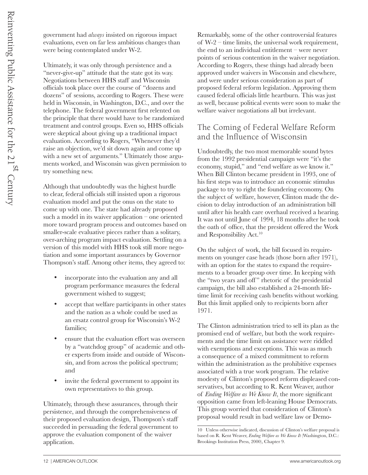government had *always* insisted on rigorous impact evaluations, even on far less ambitious changes than were being contemplated under W-2.

Ultimately, it was only through persistence and a "never-give-up" attitude that the state got its way. Negotiations between HHS staff and Wisconsin officials took place over the course of "dozens and dozens" of sessions, according to Rogers. These were held in Wisconsin, in Washington, D.C., and over the telephone. The federal government first relented on the principle that there would have to be randomized treatment and control groups. Even so, HHS officials were skeptical about giving up a traditional impact evaluation. According to Rogers, "Whenever they'd raise an objection, we'd sit down again and come up with a new set of arguments." Ultimately those arguments worked, and Wisconsin was given permission to try something new.

Although that undoubtedly was the highest hurdle to clear, federal officials still insisted upon a rigorous evaluation model and put the onus on the state to come up with one. The state had already proposed such a model in its waiver application – one oriented more toward program process and outcomes based on smaller-scale evaluative pieces rather than a solitary, over-arching program impact evaluation. Settling on a version of this model with HHS took still more negotiation and some important assurances by Governor Thompson's staff. Among other items, they agreed to:

- incorporate into the evaluation any and all program performance measures the federal government wished to suggest;
- accept that welfare participants in other states and the nation as a whole could be used as an ersatz control group for Wisconsin's W-2 families;
- ensure that the evaluation effort was overseen by a "watchdog group" of academic and other experts from inside and outside of Wisconsin, and from across the political spectrum; and
- invite the federal government to appoint its own representatives to this group.

Ultimately, through these assurances, through their persistence, and through the comprehensiveness of their proposed evaluation design, Thompson's staff succeeded in persuading the federal government to approve the evaluation component of the waiver application.

Remarkably, some of the other controversial features of W-2 – time limits, the universal work requirement, the end to an individual entitlement – were never points of serious contention in the waiver negotiation. According to Rogers, these things had already been approved under waivers in Wisconsin and elsewhere, and were under serious consideration as part of proposed federal reform legislation. Approving them caused federal officials little heartburn. This was just as well, because political events were soon to make the welfare waiver negotiations all but irrelevant.

## The Coming of Federal Welfare Reform and the Influence of Wisconsin

Undoubtedly, the two most memorable sound bytes from the 1992 presidential campaign were "it's the economy, stupid," and "end welfare as we know it." When Bill Clinton became president in 1993, one of his first steps was to introduce an economic stimulus package to try to right the foundering economy. On the subject of welfare, however, Clinton made the decision to delay introduction of an administration bill until after his health care overhaul received a hearing. It was not until June of 1994, 18 months after he took the oath of office, that the president offered the Work and Responsibility Act.<sup>10</sup>

On the subject of work, the bill focused its requirements on younger case heads (those born after 1971), with an option for the states to expand the requirements to a broader group over time. In keeping with the "two years and off" rhetoric of the presidential campaign, the bill also established a 24-month lifetime limit for receiving cash benefits without working. But this limit applied only to recipients born after 1971.

The Clinton administration tried to sell its plan as the promised end of welfare, but both the work requirements and the time limit on assistance were riddled with exemptions and exceptions. This was as much a consequence of a mixed commitment to reform within the administration as the prohibitive expenses associated with a true work program. The relative modesty of Clinton's proposed reform displeased conservatives, but according to R. Kent Weaver, author of *Ending Welfare as We Know It*, the more significant opposition came from left-leaning House Democrats. This group worried that consideration of Clinton's proposal would result in bad welfare law or Demo-

<sup>10</sup> Unless otherwise indicated, discussion of Clinton's welfare proposal is based on R. Kent Weaver, *Ending Welfare as We Know It* (Washington, D.C.: Brookings Institution Press, 2000), Chapter 9.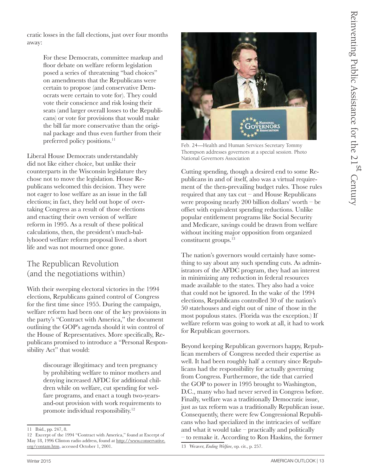cratic losses in the fall elections, just over four months away:

> For these Democrats, committee markup and floor debate on welfare reform legislation posed a series of threatening "bad choices" on amendments that the Republicans were certain to propose (and conservative Democrats were certain to vote for). They could vote their conscience and risk losing their seats (and larger overall losses to the Republicans) or vote for provisions that would make the bill far more conservative than the original package and thus even further from their preferred policy positions.<sup>11</sup>

Liberal House Democrats understandably did not like either choice, but unlike their counterparts in the Wisconsin legislature they chose not to move the legislation. House Republicans welcomed this decision. They were not eager to lose welfare as an issue in the fall elections; in fact, they held out hope of overtaking Congress as a result of those elections and enacting their own version of welfare reform in 1995. As a result of these political calculations, then, the president's much-ballyhooed welfare reform proposal lived a short life and was not mourned once gone.

## The Republican Revolution (and the negotiations within)

With their sweeping electoral victories in the 1994 elections, Republicans gained control of Congress for the first time since 1955. During the campaign, welfare reform had been one of the key provisions in the party's "Contract with America," the document outlining the GOP's agenda should it win control of the House of Representatives. More specifically, Republicans promised to introduce a "Personal Responsibility Act" that would:

> discourage illegitimacy and teen pregnancy by prohibiting welfare to minor mothers and denying increased AFDC for additional children while on welfare, cut spending for welfare programs, and enact a tough two-yearsand-out provision with work requirements to promote individual responsibility.<sup>12</sup>



Feb. 24—Health and Human Services Secretary Tommy Thompson addresses governors at a special session. Photo National Governors Association

Cutting spending, though a desired end to some Republicans in and of itself, also was a virtual requirement of the then-prevailing budget rules. Those rules required that any tax cut – and House Republicans were proposing nearly 200 billion dollars' worth – be offset with equivalent spending reductions. Unlike popular entitlement programs like Social Security and Medicare, savings could be drawn from welfare without inciting major opposition from organized constituent groups.13

The nation's governors would certainly have something to say about any such spending cuts. As administrators of the AFDC program, they had an interest in minimizing any reduction in federal resources made available to the states. They also had a voice that could not be ignored. In the wake of the 1994 elections, Republicans controlled 30 of the nation's 50 statehouses and eight out of nine of those in the most populous states. (Florida was the exception.) If welfare reform was going to work at all, it had to work for Republican governors.

Beyond keeping Republican governors happy, Republican members of Congress needed their expertise as well. It had been roughly half a century since Republicans had the responsibility for actually governing from Congress. Furthermore, the tide that carried the GOP to power in 1995 brought to Washington, D.C., many who had never served in Congress before. Finally, welfare was a traditionally Democratic issue, just as tax reform was a traditionally Republican issue. Consequently, there were few Congressional Republicans who had specialized in the intricacies of welfare and what it would take – practically and politically – to remake it. According to Ron Haskins, the former 13 Weaver, *Ending Welfare*, op. cit., p. 257.

<sup>11</sup> Ibid., pp. 247, 8.

<sup>12</sup> Excerpt of the 1994 "Contract with America," found at Excerpt of May 18, 1996 Clinton radio address, found at http://www.conservative. org/contam.htm, accessed October 1, 2001.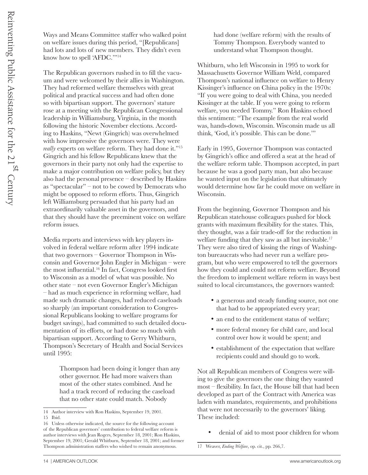Ways and Means Committee staffer who walked point on welfare issues during this period, "[Republicans] had lots and lots of new members. They didn't even know how to spell 'AFDC.'"14

The Republican governors rushed in to fill the vacuum and were welcomed by their allies in Washington. They had reformed welfare themselves with great political and practical success and had often done so with bipartisan support. The governors' stature rose at a meeting with the Republican Congressional leadership in Williamsburg, Virginia, in the month following the historic November elections. According to Haskins, "Newt (Gingrich) was overwhelmed with how impressive the governors were. They were. *really* experts on welfare reform. They had done it."15 Gingrich and his fellow Republicans knew that the governors in their party not only had the expertise to make a major contribution on welfare policy, but they also had the personal presence – described by Haskins as "spectacular" – not to be cowed by Democrats who might be opposed to reform efforts. Thus, Gingrich left Williamsburg persuaded that his party had an extraordinarily valuable asset in the governors, and that they should have the preeminent voice on welfare reform issues.

Media reports and interviews with key players involved in federal welfare reform after 1994 indicate that two governors – Governor Thompson in Wisconsin and Governor John Engler in Michigan – were the most influential.<sup>16</sup> In fact, Congress looked first to Wisconsin as a model of what was possible. No other state – not even Governor Engler's Michigan – had as much experience in reforming welfare, had made such dramatic changes, had reduced caseloads so sharply (an important consideration to Congressional Republicans looking to welfare programs for budget savings), had committed to such detailed documentation of its efforts, or had done so much with bipartisan support. According to Gerry Whitburn, Thompson's Secretary of Health and Social Services until 1995:

> Thompson had been doing it longer than any other governor. He had more waivers than most of the other states combined. And he had a track record of reducing the caseload that no other state could match. Nobody

had done (welfare reform) with the results of Tommy Thompson. Everybody wanted to understand what Thompson thought.

Whitburn, who left Wisconsin in 1995 to work for Massachusetts Governor William Weld, compared Thompson's national influence on welfare to Henry Kissinger's influence on China policy in the 1970s: "If you were going to deal with China, you needed Kissinger at the table. If you were going to reform welfare, you needed Tommy." Ron Haskins echoed this sentiment: "The example from the real world was, hands-down, Wisconsin. Wisconsin made us all think, 'God, it's possible. This can be done.'"

Early in 1995, Governor Thompson was contacted by Gingrich's office and offered a seat at the head of the welfare reform table. Thompson accepted, in part because he was a good party man, but also because he wanted input on the legislation that ultimately would determine how far he could move on welfare in Wisconsin.

From the beginning, Governor Thompson and his Republican statehouse colleagues pushed for block grants with maximum flexibility for the states. This, they thought, was a fair trade-off for the reduction in welfare funding that they saw as all but inevitable.<sup>17</sup> They were also tired of kissing the rings of Washington bureaucrats who had never run a welfare program, but who were empowered to tell the governors how they could and could not reform welfare. Beyond the freedom to implement welfare reform in ways best suited to local circumstances, the governors wanted:

- a generous and steady funding source, not one that had to be appropriated every year;
- an end to the entitlement status of welfare;
- • more federal money for child care, and local control over how it would be spent; and
- establishment of the expectation that welfare recipients could and should go to work.

Not all Republican members of Congress were willing to give the governors the one thing they wanted most – flexibility. In fact, the House bill that had been developed as part of the Contract with America was laden with mandates, requirements, and prohibitions that were not necessarily to the governors' liking. These included:

• denial of aid to most poor children for whom

<sup>14</sup> Author interview with Ron Haskins, September 19, 2001. 15 Ibid.

<sup>16</sup> Unless otherwise indicated, the source for the following account of the Republican governors' contribution to federal welfare reform is author interviews with Jean Rogers, September 18, 2001; Ron Haskins, September 19, 2001; Gerald Whitburn, September 18, 2001; and former Thompson administration staffers who wished to remain anonymous.

<sup>17</sup> Weaver, *Ending Welfare*, op. cit., pp. 266,7.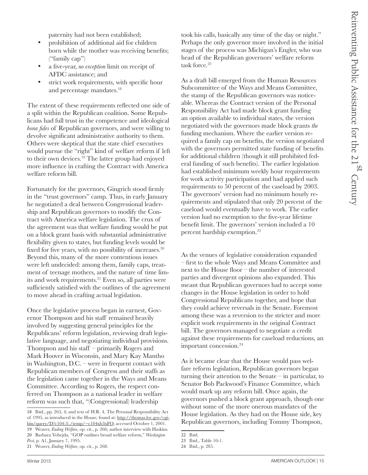paternity had not been established;

- prohibition of additional aid for children born while the mother was receiving benefits; ("family cap")
- a five-year, *no exception* limit on receipt of AFDC assistance; and
- strict work requirements, with specific hour and percentage mandates.<sup>18</sup>

The extent of these requirements reflected one side of a split within the Republican coalition. Some Republicans had full trust in the competence and ideological *bona fides* of Republican governors, and were willing to devolve significant administrative authority to them. Others were skeptical that the state chief executives would pursue the "right" kind of welfare reform if left to their own devices.<sup>19</sup> The latter group had enjoyed more influence in crafting the Contract with America welfare reform bill.

Fortunately for the governors, Gingrich stood firmly in the "trust governors" camp. Thus, in early January he negotiated a deal between Congressional leadership and Republican governors to modify the Contract with America welfare legislation. The crux of the agreement was that welfare funding would be put on a block grant basis with substantial administrative flexibility given to states, but funding levels would be fixed for five years, with no possibility of increases.<sup>20</sup> Beyond this, many of the more contentious issues were left undecided: among them, family caps, treatment of teenage mothers, and the nature of time limits and work requirements.<sup>21</sup> Even so, all parties were sufficiently satisfied with the outlines of the agreement to move ahead in crafting actual legislation.

Once the legislative process began in earnest, Governor Thompson and his staff remained heavily involved by suggesting general principles for the Republicans' reform legislation, reviewing draft legislative language, and negotiating individual provisions. Thompson and his staff – primarily Rogers and Mark Hoover in Wisconsin, and Mary Kay Mantho in Washington, D.C. – were in frequent contact with Republican members of Congress and their staffs as the legislation came together in the Ways and Means Committee. According to Rogers, the respect conferred on Thompson as a national leader in welfare reform was such that, "(Congressional) leadership

19 Weaver, *Ending Welfare*, op. cit., p. 266; author interview with Haskins. 20 Barbara Vobejda, "GOP outlines broad welfare reform," *Washington Post*, p. A1, January 7, 1995.

took his calls, basically any time of the day or night." Perhaps the only governor more involved in the initial stages of the process was Michigan's Engler, who was head of the Republican governors' welfare reform task force.<sup>22</sup>

As a draft bill emerged from the Human Resources Subcommittee of the Ways and Means Committee, the stamp of the Republican governors was noticeable. Whereas the Contract version of the Personal Responsibility Act had made block grant funding an option available to individual states, the version negotiated with the governors made block grants *the* funding mechanism. Where the earlier version required a family cap on benefits, the version negotiated with the governors permitted state funding of benefits for additional children (though it still prohibited federal funding of such benefits). The earlier legislation had established minimum weekly hour requirements for work activity participation and had applied such requirements to 50 percent of the caseload by 2003. The governors' version had no minimum hourly requirements and stipulated that only 20 percent of the caseload would eventually have to work. The earlier version had no exemption to the five-year lifetime benefit limit. The governors' version included a 10 percent hardship exemption.<sup>23</sup>

As the venues of legislative consideration expanded – first to the whole Ways and Means Committee and next to the House floor – the number of interested parties and divergent opinions also expanded. This meant that Republican governors had to accept some changes in the House legislation in order to hold Congressional Republicans together, and hope that they could achieve reversals in the Senate. Foremost among these was a reversion to the stricter and more explicit work requirements in the original Contract bill. The governors managed to negotiate a credit against these requirements for caseload reductions, an important concession.<sup>24</sup>

As it became clear that the House would pass welfare reform legislation, Republican governors began turning their attention to the Senate – in particular, to Senator Bob Packwood's Finance Committee, which would mark up any reform bill. Once again, the governors pushed a block grant approach, though one without some of the more onerous mandates of the House legislation. As they had on the House side, key Republican governors, including Tommy Thompson,

<sup>18</sup> Ibid., pp. 263, 4; and text of H.R. 4, The Personal Responsibility Act of 1995, as introduced in the House, found at: http://thomas.loc.gov/cgibin/query/D?c104:3:/temp/~c104xb3xFO, accessed October 1, 2001.

<sup>21</sup> Weaver, *Ending Welfare*, op. cit., p. 268.

<sup>22</sup> Ibid.

<sup>23</sup> Ibid., Table 10-1.

<sup>24</sup> Ibid., p. 285.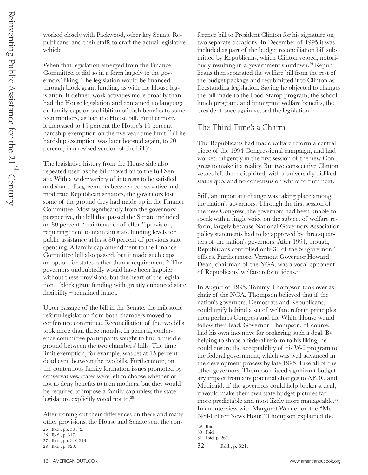worked closely with Packwood, other key Senate Republicans, and their staffs to craft the actual legislative vehicle.

When that legislation emerged from the Finance Committee, it did so in a form largely to the governors' liking. The legislation would be financed through block grant funding, as with the House legislation. It defined work activities more broadly than had the House legislation and contained no language on family caps or prohibition of cash benefits to some teen mothers, as had the House bill. Furthermore, it increased to 15 percent the House's 10 percent hardship exemption on the five-year time limit.<sup>25</sup> (The hardship exemption was later boosted again, to 20 percent, in a revised version of the bill.) $26$ 

The legislative history from the House side also repeated itself as the bill moved on to the full Senate. With a wider variety of interests to be satisfied and sharp disagreements between conservative and moderate Republican senators, the governors lost some of the ground they had made up in the Finance Committee. Most significantly from the governors' perspective, the bill that passed the Senate included an 80 percent "maintenance of effort" provision, requiring them to maintain state funding levels for public assistance at least 80 percent of previous state spending. A family cap amendment to the Finance Committee bill also passed, but it made such caps an option for states rather than a requirement.<sup>27</sup> The governors undoubtedly would have been happier without these provisions, but the heart of the legislation – block grant funding with greatly enhanced state flexibility – remained intact.

Upon passage of the bill in the Senate, the milestone reform legislation from both chambers moved to conference committee. Reconciliation of the two bills took more than three months. In general, conference committee participants sought to find a middle ground between the two chambers' bills. The time limit exemption, for example, was set at 15 percent dead even between the two bills. Furthermore, on the contentious family formation issues promoted by conservatives, states were left to choose whether or not to deny benefits to teen mothers, but they would be required to impose a family cap unless the state legislature explicitly voted not to.28

After ironing out their differences on these and many other provisions, the House and Senate sent the conference bill to President Clinton for his signature on two separate occasions. In December of 1995 it was included as part of the budget reconciliation bill submitted by Republicans, which Clinton vetoed, notoriously resulting in a government shutdown.<sup>29</sup> Republicans then separated the welfare bill from the rest of the budget package and resubmitted it to Clinton as freestanding legislation. Saying he objected to changes the bill made to the Food Stamp program, the school lunch program, and immigrant welfare benefits, the president once again vetoed the legislation.30

#### The Third Time's a Charm

The Republicans had made welfare reform a central piece of the 1994 Congressional campaign, and had worked diligently in the first session of the new Congress to make it a reality. But two consecutive Clinton vetoes left them dispirited, with a universally disliked status quo, and no consensus on where to turn next.

Still, an important change was taking place among the nation's governors. Through the first session of the new Congress, the governors had been unable to speak with a single voice on the subject of welfare reform, largely because National Governors Association policy statements had to be approved by three-quarters of the nation's governors. After 1994, though, Republicans controlled only 30 of the 50 governors' offices. Furthermore, Vermont Governor Howard Dean, chairman of the NGA, was a vocal opponent of Republicans' welfare reform ideas.31

In August of 1995, Tommy Thompson took over as chair of the NGA. Thompson believed that if the nation's governors, Democrats and Republicans, could unify behind a set of welfare reform principles then perhaps Congress and the White House would follow their lead. Governor Thompson, of course, had his own incentive for brokering such a deal. By helping to shape a federal reform to his liking, he could ensure the acceptability of his W-2 program to the federal government, which was well advanced in the development process by late 1995. Like all of the other governors, Thompson faced significant budgetary impact from any potential changes to AFDC and Medicaid. If the governors could help broker a deal, it would make their own state budget pictures far more predictable and most likely more manageable.<sup>32</sup> In an interview with Margaret Warner on the "Mc-Neil-Lehrer News Hour," Thompson explained the

<sup>25</sup> Ibid., pp. 301, 2.

<sup>26</sup> Ibid., p. 317.

<sup>27</sup> Ibid., pp. 310-313.

<sup>28</sup> Ibid., p. 320.

<sup>29</sup> Ibid.

<sup>30</sup> Ibid. 31 Ibid. p. 267.

<sup>32</sup> Ibid., p. 321.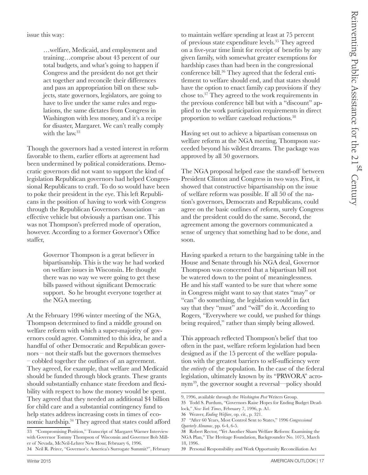issue this way:

…welfare, Medicaid, and employment and training…comprise about 43 percent of our total budgets, and what's going to happen if Congress and the president do not get their act together and reconcile their differences and pass an appropriation bill on these subjects, state governors, legislators, are going to have to live under the same rules and regulations, the same dictates from Congress in Washington with less money, and it's a recipe for disaster, Margaret. We can't really comply with the law.<sup>33</sup>

Though the governors had a vested interest in reform favorable to them, earlier efforts at agreement had been undermined by political considerations. Democratic governors did not want to support the kind of legislation Republican governors had helped Congressional Republicans to craft. To do so would have been to poke their president in the eye. This left Republicans in the position of having to work with Congress through the Republican Governors Association – an effective vehicle but obviously a partisan one. This was not Thompson's preferred mode of operation, however. According to a former Governor's Office staffer,

> Governor Thompson is a great believer in bipartisanship. This is the way he had worked on welfare issues in Wisconsin. He thought there was no way we were going to get these bills passed without significant Democratic support. So he brought everyone together at the NGA meeting.

At the February 1996 winter meeting of the NGA, Thompson determined to find a middle ground on welfare reform with which a super-majority of governors could agree. Committed to this idea, he and a handful of other Democratic and Republican governors – not their staffs but the governors themselves – cobbled together the outlines of an agreement. They agreed, for example, that welfare and Medicaid should be funded through block grants. These grants should substantially enhance state freedom and flexibility with respect to how the money would be spent. They agreed that they needed an additional \$4 billion for child care and a substantial contingency fund to help states address increasing costs in times of economic hardship.<sup>34</sup> They agreed that states could afford

to maintain welfare spending at least at 75 percent of previous state expenditure levels.35 They agreed on a five-year time limit for receipt of benefits by any given family, with somewhat greater exemptions for hardship cases than had been in the congressional conference bill.<sup>36</sup> They agreed that the federal entitlement to welfare should end, and that states should have the option to enact family cap provisions if they chose to.37 They agreed to the work requirements in the previous conference bill but with a "discount" applied to the work participation requirements in direct proportion to welfare caseload reductions.<sup>38</sup>

Having set out to achieve a bipartisan consensus on welfare reform at the NGA meeting, Thompson succeeded beyond his wildest dreams. The package was approved by all 50 governors.

The NGA proposal helped ease the stand-off between President Clinton and Congress in two ways. First, it showed that constructive bipartisanship on the issue of welfare reform was possible. If all 50 of the nation's governors, Democrats and Republicans, could agree on the basic outlines of reform, surely Congress and the president could do the same. Second, the agreement among the governors communicated a sense of urgency that something had to be done, and soon.

Having sparked a return to the bargaining table in the House and Senate through his NGA deal, Governor Thompson was concerned that a bipartisan bill not be watered down to the point of meaninglessness. He and his staff wanted to be sure that where some in Congress might want to say that states "may" or "can" do something, the legislation would in fact say that they "must" and "will" do it. According to Rogers, "Everywhere we could, we pushed for things being required," rather than simply being allowed.

This approach reflected Thompson's belief that too often in the past, welfare reform legislation had been designed as if the 15 percent of the welfare population with the greatest barriers to self-sufficiency were the *entirety* of the population. In the case of the federal legislation, ultimately known by its "PRWORA" acronym39, the governor sought a reversal—policy should

<sup>33 &</sup>quot;Compromising Position," Transcript of Margaret Warner Interview with Governor Tommy Thompson of Wisconsin and Governor Bob Miller of Nevada, McNeil-Lehrer New Hour, February 6, 1996. 34 Neil R. Peirce, "Governor's: America's Surrogate Summit?", February

<sup>9, 1996,</sup> available through the *Washington Post* Writers Group.

<sup>35</sup> Todd S. Purdum, "Governors Raise Hopes for Ending Budget Deadlock," *New York Times*, February 7, 1996, p. A1.

<sup>36</sup> Weaver, *Ending Welfare*, op. cit., p. 321.

<sup>37</sup> "After 60 Years, Most Control Sent to States," 1996 *Congressional Quarterly Almanac*, pp. 6-4, 6-5.

<sup>38</sup> Robert Rector, "Yet Another Sham Welfare Reform: Examining the NGA Plan," The Heritage Foundation, Backgrounder No. 1075, March 18, 1996.

<sup>39</sup> Personal Responsibility and Work Opportunity Reconciliation Act